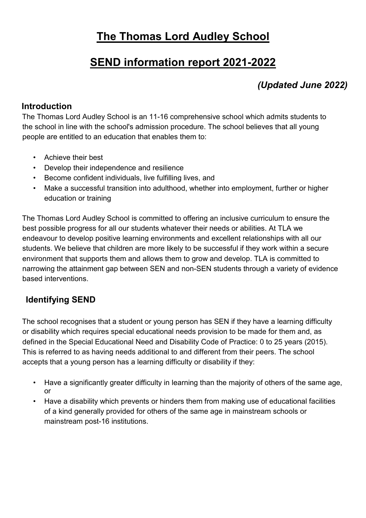# **The Thomas Lord Audley School**

# **SEND information report 2021-2022**

# *(Updated June 2022)*

#### **Introduction**

The Thomas Lord Audley School is an 11-16 comprehensive school which admits students to the school in line with the school's admission procedure. The school believes that all young people are entitled to an education that enables them to:

- Achieve their best
- Develop their independence and resilience
- Become confident individuals, live fulfilling lives, and
- Make a successful transition into adulthood, whether into employment, further or higher education or training

The Thomas Lord Audley School is committed to offering an inclusive curriculum to ensure the best possible progress for all our students whatever their needs or abilities. At TLA we endeavour to develop positive learning environments and excellent relationships with all our students. We believe that children are more likely to be successful if they work within a secure environment that supports them and allows them to grow and develop. TLA is committed to narrowing the attainment gap between SEN and non-SEN students through a variety of evidence based interventions.

# **Identifying SEND**

The school recognises that a student or young person has SEN if they have a learning difficulty or disability which requires special educational needs provision to be made for them and, as defined in the Special Educational Need and Disability Code of Practice: 0 to 25 years (2015). This is referred to as having needs additional to and different from their peers. The school accepts that a young person has a learning difficulty or disability if they:

- Have a significantly greater difficulty in learning than the majority of others of the same age, or
- Have a disability which prevents or hinders them from making use of educational facilities of a kind generally provided for others of the same age in mainstream schools or mainstream post-16 institutions.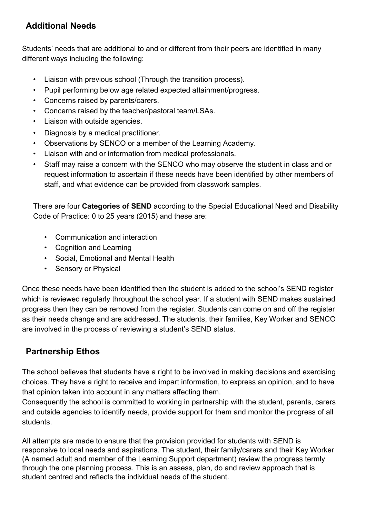# **Additional Needs**

Students' needs that are additional to and or different from their peers are identified in many different ways including the following:

- Liaison with previous school (Through the transition process).
- Pupil performing below age related expected attainment/progress.
- Concerns raised by parents/carers.
- Concerns raised by the teacher/pastoral team/LSAs.
- Liaison with outside agencies.
- Diagnosis by a medical practitioner.
- Observations by SENCO or a member of the Learning Academy.
- Liaison with and or information from medical professionals.
- Staff may raise a concern with the SENCO who may observe the student in class and or request information to ascertain if these needs have been identified by other members of staff, and what evidence can be provided from classwork samples.

There are four **Categories of SEND** according to the Special Educational Need and Disability Code of Practice: 0 to 25 years (2015) and these are:

- Communication and interaction
- Cognition and Learning
- Social, Emotional and Mental Health
- Sensory or Physical

Once these needs have been identified then the student is added to the school's SEND register which is reviewed regularly throughout the school year. If a student with SEND makes sustained progress then they can be removed from the register. Students can come on and off the register as their needs change and are addressed. The students, their families, Key Worker and SENCO are involved in the process of reviewing a student's SEND status.

# **Partnership Ethos**

The school believes that students have a right to be involved in making decisions and exercising choices. They have a right to receive and impart information, to express an opinion, and to have that opinion taken into account in any matters affecting them.

Consequently the school is committed to working in partnership with the student, parents, carers and outside agencies to identify needs, provide support for them and monitor the progress of all students.

All attempts are made to ensure that the provision provided for students with SEND is responsive to local needs and aspirations. The student, their family/carers and their Key Worker (A named adult and member of the Learning Support department) review the progress termly through the one planning process. This is an assess, plan, do and review approach that is student centred and reflects the individual needs of the student.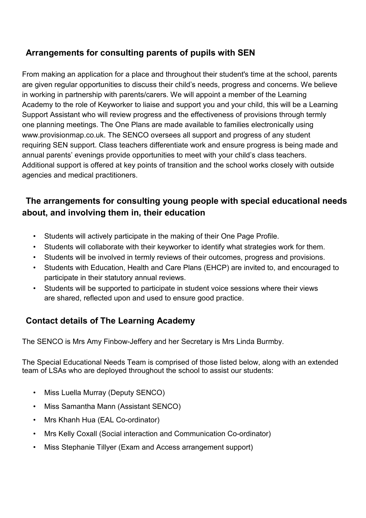# **Arrangements for consulting parents of pupils with SEN**

From making an application for a place and throughout their student's time at the school, parents are given regular opportunities to discuss their child's needs, progress and concerns. We believe in working in partnership with parents/carers. We will appoint a member of the Learning Academy to the role of Keyworker to liaise and support you and your child, this will be a Learning Support Assistant who will review progress and the effectiveness of provisions through termly one planning meetings. The One Plans are made available to families electronically using [www.provisionmap.co.uk. T](http://www.provisionmap.co.uk/)he SENCO oversees all support and progress of any student requiring SEN support. Class teachers differentiate work and ensure progress is being made and annual parents' evenings provide opportunities to meet with your child's class teachers. Additional support is offered at key points of transition and the school works closely with outside agencies and medical practitioners.

# **The arrangements for consulting young people with special educational needs about, and involving them in, their education**

- Students will actively participate in the making of their One Page Profile.
- Students will collaborate with their keyworker to identify what strategies work for them.
- Students will be involved in termly reviews of their outcomes, progress and provisions.
- Students with Education, Health and Care Plans (EHCP) are invited to, and encouraged to participate in their statutory annual reviews.
- Students will be supported to participate in student voice sessions where their views are shared, reflected upon and used to ensure good practice.

# **Contact details of The Learning Academy**

The SENCO is Mrs Amy Finbow-Jeffery and her Secretary is Mrs Linda Burmby.

The Special Educational Needs Team is comprised of those listed below, along with an extended team of LSAs who are deployed throughout the school to assist our students:

- Miss Luella Murray (Deputy SENCO)
- Miss Samantha Mann (Assistant SENCO)
- Mrs Khanh Hua (EAL Co-ordinator)
- Mrs Kelly Coxall (Social interaction and Communication Co-ordinator)
- Miss Stephanie Tillyer (Exam and Access arrangement support)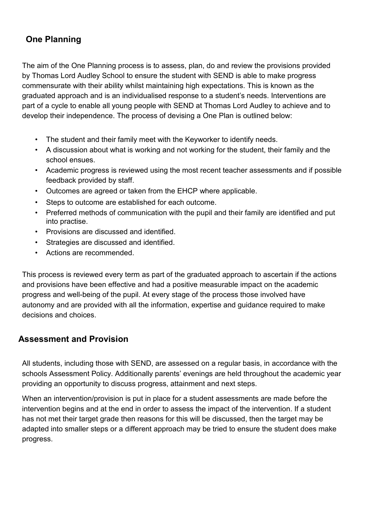# **One Planning**

The aim of the One Planning process is to assess, plan, do and review the provisions provided by Thomas Lord Audley School to ensure the student with SEND is able to make progress commensurate with their ability whilst maintaining high expectations. This is known as the graduated approach and is an individualised response to a student's needs. Interventions are part of a cycle to enable all young people with SEND at Thomas Lord Audley to achieve and to develop their independence. The process of devising a One Plan is outlined below:

- The student and their family meet with the Keyworker to identify needs.
- A discussion about what is working and not working for the student, their family and the school ensues.
- Academic progress is reviewed using the most recent teacher assessments and if possible feedback provided by staff.
- Outcomes are agreed or taken from the EHCP where applicable.
- Steps to outcome are established for each outcome.
- Preferred methods of communication with the pupil and their family are identified and put into practise.
- Provisions are discussed and identified.
- Strategies are discussed and identified.
- Actions are recommended.

This process is reviewed every term as part of the graduated approach to ascertain if the actions and provisions have been effective and had a positive measurable impact on the academic progress and well-being of the pupil. At every stage of the process those involved have autonomy and are provided with all the information, expertise and guidance required to make decisions and choices.

### **Assessment and Provision**

All students, including those with SEND, are assessed on a regular basis, in accordance with the schools Assessment Policy. Additionally parents' evenings are held throughout the academic year providing an opportunity to discuss progress, attainment and next steps.

When an intervention/provision is put in place for a student assessments are made before the intervention begins and at the end in order to assess the impact of the intervention. If a student has not met their target grade then reasons for this will be discussed, then the target may be adapted into smaller steps or a different approach may be tried to ensure the student does make progress.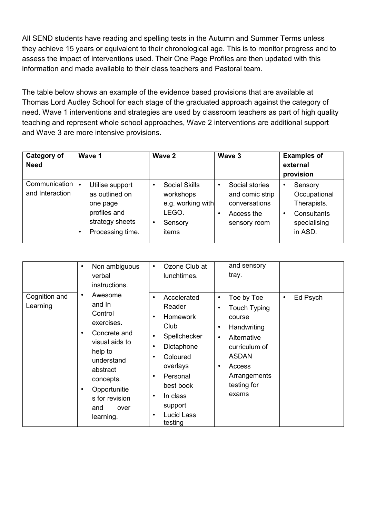All SEND students have reading and spelling tests in the Autumn and Summer Terms unless they achieve 15 years or equivalent to their chronological age. This is to monitor progress and to assess the impact of interventions used. Their One Page Profiles are then updated with this information and made available to their class teachers and Pastoral team.

The table below shows an example of the evidence based provisions that are available at Thomas Lord Audley School for each stage of the graduated approach against the category of need. Wave 1 interventions and strategies are used by classroom teachers as part of high quality teaching and represent whole school approaches, Wave 2 interventions are additional support and Wave 3 are more intensive provisions.

| <b>Category of</b><br><b>Need</b> | Wave 1                                                                                                                 | Wave 2                                                                                                | Wave 3                                                                                        | <b>Examples of</b><br>external<br>provision                                      |
|-----------------------------------|------------------------------------------------------------------------------------------------------------------------|-------------------------------------------------------------------------------------------------------|-----------------------------------------------------------------------------------------------|----------------------------------------------------------------------------------|
| Communication<br>and Interaction  | Utilise support<br>$\bullet$<br>as outlined on<br>one page<br>profiles and<br>strategy sheets<br>Processing time.<br>٠ | <b>Social Skills</b><br>٠<br>workshops<br>e.g. working with<br>LEGO.<br>Sensory<br>$\bullet$<br>items | Social stories<br>$\bullet$<br>and comic strip<br>conversations<br>Access the<br>sensory room | Sensory<br>Occupational<br>Therapists.<br>Consultants<br>specialising<br>in ASD. |

|                           | Non ambiguous<br>verbal<br>instructions.<br>٠                                                                                                                                                             | Ozone Club at<br>$\bullet$<br>lunchtimes.                                                                                                                                                                                                                                              | and sensory<br>tray.                                                                                                                                                                                          |                       |
|---------------------------|-----------------------------------------------------------------------------------------------------------------------------------------------------------------------------------------------------------|----------------------------------------------------------------------------------------------------------------------------------------------------------------------------------------------------------------------------------------------------------------------------------------|---------------------------------------------------------------------------------------------------------------------------------------------------------------------------------------------------------------|-----------------------|
| Cognition and<br>Learning | Awesome<br>and In<br>Control<br>exercises.<br>Concrete and<br>$\bullet$<br>visual aids to<br>help to<br>understand<br>abstract<br>concepts.<br>Opportunitie<br>s for revision<br>and<br>over<br>learning. | Accelerated<br>$\bullet$<br>Reader<br><b>Homework</b><br>$\bullet$<br>Club<br>Spellchecker<br>$\bullet$<br>Dictaphone<br>$\bullet$<br>Coloured<br>٠<br>overlays<br>Personal<br>$\bullet$<br>best book<br>In class<br>$\bullet$<br>support<br><b>Lucid Lass</b><br>$\bullet$<br>testing | Toe by Toe<br>٠<br><b>Touch Typing</b><br>٠<br>course<br>Handwriting<br>$\bullet$<br>Alternative<br>$\bullet$<br>curriculum of<br><b>ASDAN</b><br>Access<br>$\bullet$<br>Arrangements<br>testing for<br>exams | Ed Psych<br>$\bullet$ |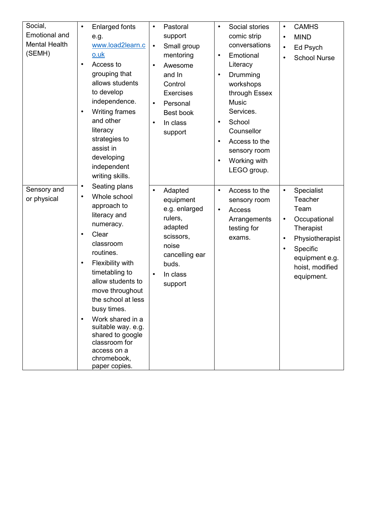| Social,<br><b>Emotional and</b><br><b>Mental Health</b><br>(SEMH) | <b>Enlarged fonts</b><br>$\bullet$<br>e.g.<br>www.load2learn.c<br>o.uk<br>Access to<br>$\bullet$<br>grouping that<br>allows students<br>to develop<br>independence.<br>Writing frames<br>$\bullet$<br>and other<br>literacy<br>strategies to<br>assist in<br>developing<br>independent<br>writing skills.                                                                                                                      | Pastoral<br>$\bullet$<br>support<br>Small group<br>$\bullet$<br>mentoring<br>Awesome<br>$\bullet$<br>and In<br>Control<br><b>Exercises</b><br>Personal<br>$\bullet$<br>Best book<br>In class<br>$\bullet$<br>support | Social stories<br>٠<br>comic strip<br>conversations<br>Emotional<br>$\bullet$<br>Literacy<br>Drumming<br>$\bullet$<br>workshops<br>through Essex<br><b>Music</b><br>Services.<br>School<br>٠<br>Counsellor<br>Access to the<br>$\bullet$<br>sensory room<br>Working with<br>LEGO group. | <b>CAMHS</b><br>$\bullet$<br><b>MIND</b><br>$\bullet$<br>Ed Psych<br>$\bullet$<br><b>School Nurse</b><br>$\bullet$                                                                               |
|-------------------------------------------------------------------|--------------------------------------------------------------------------------------------------------------------------------------------------------------------------------------------------------------------------------------------------------------------------------------------------------------------------------------------------------------------------------------------------------------------------------|----------------------------------------------------------------------------------------------------------------------------------------------------------------------------------------------------------------------|-----------------------------------------------------------------------------------------------------------------------------------------------------------------------------------------------------------------------------------------------------------------------------------------|--------------------------------------------------------------------------------------------------------------------------------------------------------------------------------------------------|
| Sensory and<br>or physical                                        | Seating plans<br>$\bullet$<br>Whole school<br>$\bullet$<br>approach to<br>literacy and<br>numeracy.<br>Clear<br>$\bullet$<br>classroom<br>routines.<br>Flexibility with<br>$\bullet$<br>timetabling to<br>allow students to<br>move throughout<br>the school at less<br>busy times.<br>Work shared in a<br>$\bullet$<br>suitable way. e.g.<br>shared to google<br>classroom for<br>access on a<br>chromebook,<br>paper copies. | Adapted<br>$\bullet$<br>equipment<br>e.g. enlarged<br>rulers,<br>adapted<br>scissors,<br>noise<br>cancelling ear<br>buds.<br>In class<br>$\bullet$<br>support                                                        | Access to the<br>$\bullet$<br>sensory room<br>Access<br>$\bullet$<br>Arrangements<br>testing for<br>exams.                                                                                                                                                                              | Specialist<br>$\bullet$<br>Teacher<br>Team<br>Occupational<br>$\bullet$<br>Therapist<br>Physiotherapist<br>$\bullet$<br>Specific<br>$\bullet$<br>equipment e.g.<br>hoist, modified<br>equipment. |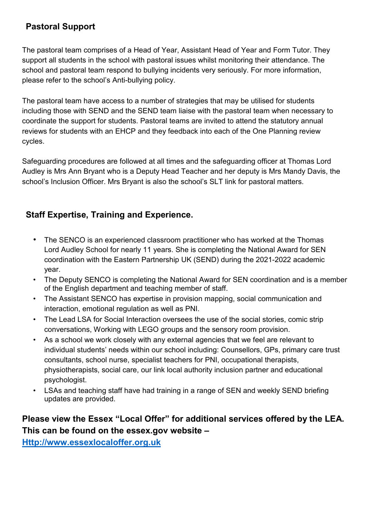# **Pastoral Support**

The pastoral team comprises of a Head of Year, Assistant Head of Year and Form Tutor. They support all students in the school with pastoral issues whilst monitoring their attendance. The school and pastoral team respond to bullying incidents very seriously. For more information, please refer to the school's Anti-bullying policy.

The pastoral team have access to a number of strategies that may be utilised for students including those with SEND and the SEND team liaise with the pastoral team when necessary to coordinate the support for students. Pastoral teams are invited to attend the statutory annual reviews for students with an EHCP and they feedback into each of the One Planning review cycles.

Safeguarding procedures are followed at all times and the safeguarding officer at Thomas Lord Audley is Mrs Ann Bryant who is a Deputy Head Teacher and her deputy is Mrs Mandy Davis, the school's Inclusion Officer. Mrs Bryant is also the school's SLT link for pastoral matters.

# **Staff Expertise, Training and Experience.**

- The SENCO is an experienced classroom practitioner who has worked at the Thomas Lord Audley School for nearly 11 years. She is completing the National Award for SEN coordination with the Eastern Partnership UK (SEND) during the 2021-2022 academic year.
- The Deputy SENCO is completing the National Award for SEN coordination and is a member of the English department and teaching member of staff.
- The Assistant SENCO has expertise in provision mapping, social communication and interaction, emotional regulation as well as PNI.
- The Lead LSA for Social Interaction oversees the use of the social stories, comic strip conversations, Working with LEGO groups and the sensory room provision.
- As a school we work closely with any external agencies that we feel are relevant to individual students' needs within our school including: Counsellors, GPs, primary care trust consultants, school nurse, specialist teachers for PNI, occupational therapists, physiotherapists, social care, our link local authority inclusion partner and educational psychologist.
- LSAs and teaching staff have had training in a range of SEN and weekly SEND briefing updates are provided.

# **Please view the Essex "Local Offer" for additional services offered by the LEA. This can be found on the essex.gov website –**

**[Http://www.essexlocaloffer.org.uk](http://www.essexlocaloffer.org.uk/)**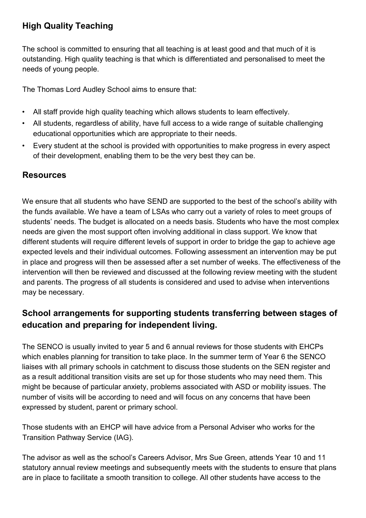# **High Quality Teaching**

The school is committed to ensuring that all teaching is at least good and that much of it is outstanding. High quality teaching is that which is differentiated and personalised to meet the needs of young people.

The Thomas Lord Audley School aims to ensure that:

- All staff provide high quality teaching which allows students to learn effectively.
- All students, regardless of ability, have full access to a wide range of suitable challenging educational opportunities which are appropriate to their needs.
- Every student at the school is provided with opportunities to make progress in every aspect of their development, enabling them to be the very best they can be.

### **Resources**

We ensure that all students who have SEND are supported to the best of the school's ability with the funds available. We have a team of LSAs who carry out a variety of roles to meet groups of students' needs. The budget is allocated on a needs basis. Students who have the most complex needs are given the most support often involving additional in class support. We know that different students will require different levels of support in order to bridge the gap to achieve age expected levels and their individual outcomes. Following assessment an intervention may be put in place and progress will then be assessed after a set number of weeks. The effectiveness of the intervention will then be reviewed and discussed at the following review meeting with the student and parents. The progress of all students is considered and used to advise when interventions may be necessary.

# **School arrangements for supporting students transferring between stages of education and preparing for independent living.**

The SENCO is usually invited to year 5 and 6 annual reviews for those students with EHCPs which enables planning for transition to take place. In the summer term of Year 6 the SENCO liaises with all primary schools in catchment to discuss those students on the SEN register and as a result additional transition visits are set up for those students who may need them. This might be because of particular anxiety, problems associated with ASD or mobility issues. The number of visits will be according to need and will focus on any concerns that have been expressed by student, parent or primary school.

Those students with an EHCP will have advice from a Personal Adviser who works for the Transition Pathway Service (IAG).

The advisor as well as the school's Careers Advisor, Mrs Sue Green, attends Year 10 and 11 statutory annual review meetings and subsequently meets with the students to ensure that plans are in place to facilitate a smooth transition to college. All other students have access to the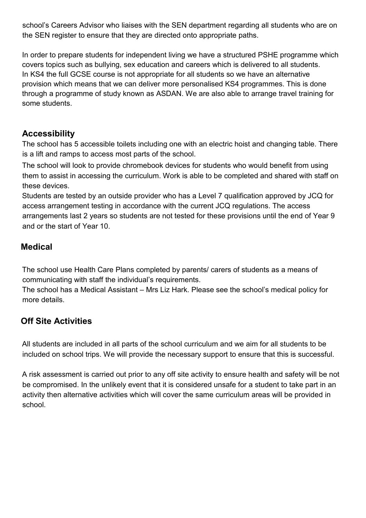school's Careers Advisor who liaises with the SEN department regarding all students who are on the SEN register to ensure that they are directed onto appropriate paths.

In order to prepare students for independent living we have a structured PSHE programme which covers topics such as bullying, sex education and careers which is delivered to all students. In KS4 the full GCSE course is not appropriate for all students so we have an alternative provision which means that we can deliver more personalised KS4 programmes. This is done through a programme of study known as ASDAN. We are also able to arrange travel training for some students.

### **Accessibility**

The school has 5 accessible toilets including one with an electric hoist and changing table. There is a lift and ramps to access most parts of the school.

The school will look to provide chromebook devices for students who would benefit from using them to assist in accessing the curriculum. Work is able to be completed and shared with staff on these devices.

Students are tested by an outside provider who has a Level 7 qualification approved by JCQ for access arrangement testing in accordance with the current JCQ regulations. The access arrangements last 2 years so students are not tested for these provisions until the end of Year 9 and or the start of Year 10.

### **Medical**

The school use Health Care Plans completed by parents/ carers of students as a means of communicating with staff the individual's requirements.

The school has a Medical Assistant – Mrs Liz Hark. Please see the school's medical policy for more details.

# **Off Site Activities**

All students are included in all parts of the school curriculum and we aim for all students to be included on school trips. We will provide the necessary support to ensure that this is successful.

A risk assessment is carried out prior to any off site activity to ensure health and safety will be not be compromised. In the unlikely event that it is considered unsafe for a student to take part in an activity then alternative activities which will cover the same curriculum areas will be provided in school.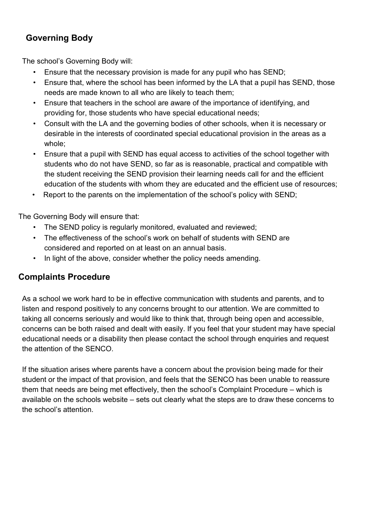## **Governing Body**

The school's Governing Body will:

- Ensure that the necessary provision is made for any pupil who has SEND;
- Ensure that, where the school has been informed by the LA that a pupil has SEND, those needs are made known to all who are likely to teach them;
- Ensure that teachers in the school are aware of the importance of identifying, and providing for, those students who have special educational needs;
- Consult with the LA and the governing bodies of other schools, when it is necessary or desirable in the interests of coordinated special educational provision in the areas as a whole;
- Ensure that a pupil with SEND has equal access to activities of the school together with students who do not have SEND, so far as is reasonable, practical and compatible with the student receiving the SEND provision their learning needs call for and the efficient education of the students with whom they are educated and the efficient use of resources;
- Report to the parents on the implementation of the school's policy with SEND;

The Governing Body will ensure that:

- The SEND policy is regularly monitored, evaluated and reviewed;
- The effectiveness of the school's work on behalf of students with SEND are considered and reported on at least on an annual basis.
- In light of the above, consider whether the policy needs amending.

### **Complaints Procedure**

As a school we work hard to be in effective communication with students and parents, and to listen and respond positively to any concerns brought to our attention. We are committed to taking all concerns seriously and would like to think that, through being open and accessible, concerns can be both raised and dealt with easily. If you feel that your student may have special educational needs or a disability then please contact the school through enquiries and request the attention of the SENCO.

If the situation arises where parents have a concern about the provision being made for their student or the impact of that provision, and feels that the SENCO has been unable to reassure them that needs are being met effectively, then the school's Complaint Procedure – which is available on the schools website – sets out clearly what the steps are to draw these concerns to the school's attention.